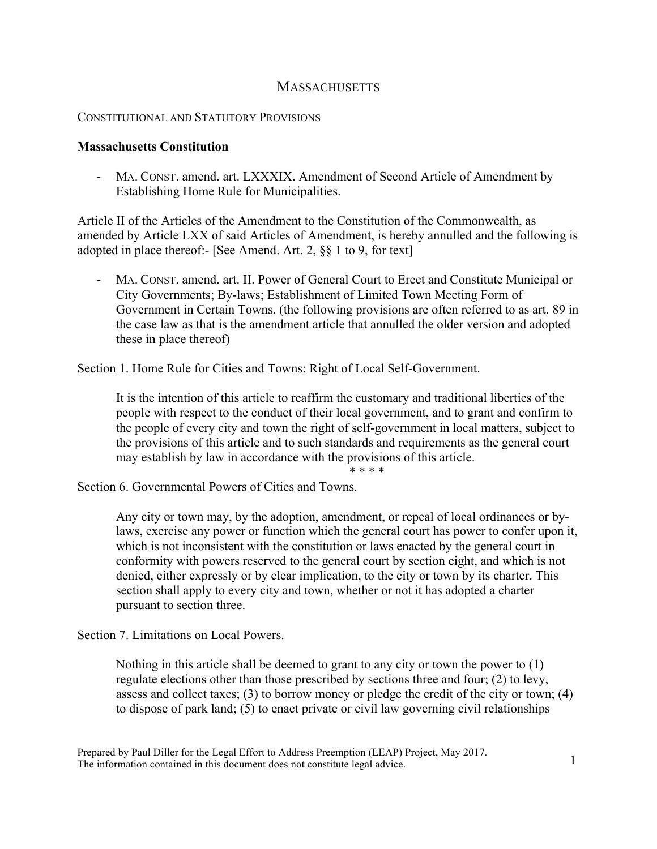# **MASSACHUSETTS**

## CONSTITUTIONAL AND STATUTORY PROVISIONS

## **Massachusetts Constitution**

- MA. CONST. amend. art. LXXXIX. Amendment of Second Article of Amendment by Establishing Home Rule for Municipalities.

Article II of the Articles of the Amendment to the Constitution of the Commonwealth, as amended by Article LXX of said Articles of Amendment, is hereby annulled and the following is adopted in place thereof:- [See Amend. Art. 2, §§ 1 to 9, for text]

- MA. CONST. amend. art. II. Power of General Court to Erect and Constitute Municipal or City Governments; By-laws; Establishment of Limited Town Meeting Form of Government in Certain Towns. (the following provisions are often referred to as art. 89 in the case law as that is the amendment article that annulled the older version and adopted these in place thereof)

Section 1. Home Rule for Cities and Towns; Right of Local Self-Government.

It is the intention of this article to reaffirm the customary and traditional liberties of the people with respect to the conduct of their local government, and to grant and confirm to the people of every city and town the right of self-government in local matters, subject to the provisions of this article and to such standards and requirements as the general court may establish by law in accordance with the provisions of this article. \* \* \* \*

Section 6. Governmental Powers of Cities and Towns.

Any city or town may, by the adoption, amendment, or repeal of local ordinances or bylaws, exercise any power or function which the general court has power to confer upon it, which is not inconsistent with the constitution or laws enacted by the general court in conformity with powers reserved to the general court by section eight, and which is not denied, either expressly or by clear implication, to the city or town by its charter. This section shall apply to every city and town, whether or not it has adopted a charter pursuant to section three.

Section 7. Limitations on Local Powers.

Nothing in this article shall be deemed to grant to any city or town the power to (1) regulate elections other than those prescribed by sections three and four; (2) to levy, assess and collect taxes; (3) to borrow money or pledge the credit of the city or town; (4) to dispose of park land; (5) to enact private or civil law governing civil relationships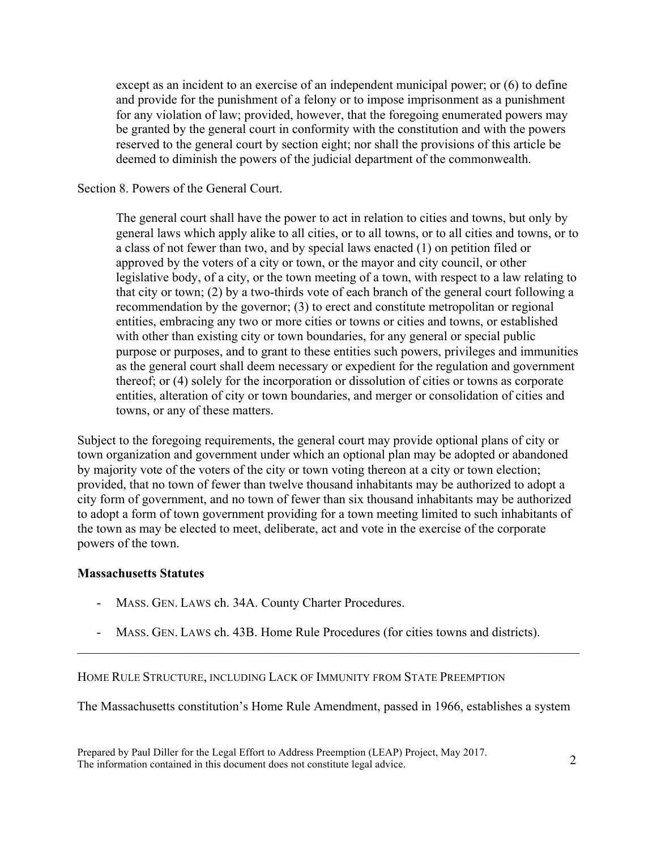except as an incident to an exercise of an independent municipal power; or (6) to define and provide for the punishment of a felony or to impose imprisonment as a punishment for any violation of law; provided, however, that the foregoing enumerated powers may be granted by the general court in conformity with the constitution and with the powers reserved to the general court by section eight; nor shall the provisions of this article be deemed to diminish the powers of the judicial department of the commonwealth.

## Section 8. Powers of the General Court.

The general court shall have the power to act in relation to cities and towns, but only by general laws which apply alike to all cities, or to all towns, or to all cities and towns, or to a class of not fewer than two, and by special laws enacted (1) on petition filed or approved by the voters of a city or town, or the mayor and city council, or other legislative body, of a city, or the town meeting of a town, with respect to a law relating to that city or town; (2) by a two-thirds vote of each branch of the general court following a recommendation by the governor; (3) to erect and constitute metropolitan or regional entities, embracing any two or more cities or towns or cities and towns, or established with other than existing city or town boundaries, for any general or special public purpose or purposes, and to grant to these entities such powers, privileges and immunities as the general court shall deem necessary or expedient for the regulation and government thereof; or (4) solely for the incorporation or dissolution of cities or towns as corporate entities, alteration of city or town boundaries, and merger or consolidation of cities and towns, or any of these matters.

Subject to the foregoing requirements, the general court may provide optional plans of city or town organization and government under which an optional plan may be adopted or abandoned by majority vote of the voters of the city or town voting thereon at a city or town election; provided, that no town of fewer than twelve thousand inhabitants may be authorized to adopt a city form of government, and no town of fewer than six thousand inhabitants may be authorized to adopt a form of town government providing for a town meeting limited to such inhabitants of the town as may be elected to meet, deliberate, act and vote in the exercise of the corporate powers of the town.

#### **Massachusetts Statutes**

- MASS. GEN. LAWS ch. 34A. County Charter Procedures.
- MASS. GEN. LAWS ch. 43B. Home Rule Procedures (for cities towns and districts).

 $\mathcal{L}_\mathcal{L} = \{ \mathcal{L}_\mathcal{L} = \{ \mathcal{L}_\mathcal{L} = \{ \mathcal{L}_\mathcal{L} = \{ \mathcal{L}_\mathcal{L} = \{ \mathcal{L}_\mathcal{L} = \{ \mathcal{L}_\mathcal{L} = \{ \mathcal{L}_\mathcal{L} = \{ \mathcal{L}_\mathcal{L} = \{ \mathcal{L}_\mathcal{L} = \{ \mathcal{L}_\mathcal{L} = \{ \mathcal{L}_\mathcal{L} = \{ \mathcal{L}_\mathcal{L} = \{ \mathcal{L}_\mathcal{L} = \{ \mathcal{L}_\mathcal{$ 

#### HOME RULE STRUCTURE, INCLUDING LACK OF IMMUNITY FROM STATE PREEMPTION

The Massachusetts constitution's Home Rule Amendment, passed in 1966, establishes a system

Prepared by Paul Diller for the Legal Effort to Address Preemption (LEAP) Project, May 2017. The information contained in this document does not constitute legal advice. May 2017.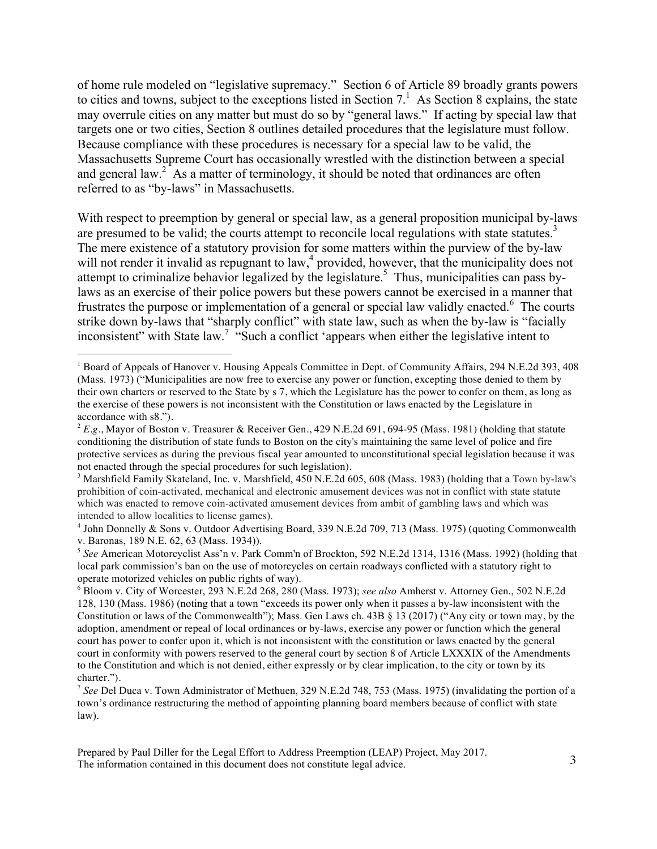of home rule modeled on "legislative supremacy." Section 6 of Article 89 broadly grants powers to cities and towns, subject to the exceptions listed in Section  $7<sup>1</sup>$  As Section 8 explains, the state may overrule cities on any matter but must do so by "general laws." If acting by special law that targets one or two cities, Section 8 outlines detailed procedures that the legislature must follow. Because compliance with these procedures is necessary for a special law to be valid, the Massachusetts Supreme Court has occasionally wrestled with the distinction between a special and general law.<sup>2</sup> As a matter of terminology, it should be noted that ordinances are often referred to as "by-laws" in Massachusetts.

With respect to preemption by general or special law, as a general proposition municipal by-laws are presumed to be valid; the courts attempt to reconcile local regulations with state statutes.<sup>3</sup> The mere existence of a statutory provision for some matters within the purview of the by-law will not render it invalid as repugnant to law,  $4$  provided, however, that the municipality does not attempt to criminalize behavior legalized by the legislature.<sup>5</sup> Thus, municipalities can pass bylaws as an exercise of their police powers but these powers cannot be exercised in a manner that frustrates the purpose or implementation of a general or special law validly enacted.<sup>6</sup> The courts strike down by-laws that "sharply conflict" with state law, such as when the by-law is "facially inconsistent" with State law.<sup>7</sup> "Such a conflict 'appears when either the legislative intent to

Prepared by Paul Diller for the Legal Effort to Address Preemption (LEAP) Project, May 2017. The information contained in this document does not constitute legal advice. 3

 <sup>1</sup> Board of Appeals of Hanover v. Housing Appeals Committee in Dept. of Community Affairs, 294 N.E.2d 393, 408 (Mass. 1973) ("Municipalities are now free to exercise any power or function, excepting those denied to them by their own charters or reserved to the State by s 7, which the Legislature has the power to confer on them, as long as the exercise of these powers is not inconsistent with the Constitution or laws enacted by the Legislature in accordance with s8.").

<sup>2</sup> *E.g.*, Mayor of Boston v. Treasurer & Receiver Gen., 429 N.E.2d 691, 694-95 (Mass. 1981) (holding that statute conditioning the distribution of state funds to Boston on the city's maintaining the same level of police and fire protective services as during the previous fiscal year amounted to unconstitutional special legislation because it was not enacted through the special procedures for such legislation).

<sup>3</sup> Marshfield Family Skateland, Inc. v. Marshfield, 450 N.E.2d 605, 608 (Mass. 1983) (holding that a Town by-law's prohibition of coin-activated, mechanical and electronic amusement devices was not in conflict with state statute which was enacted to remove coin-activated amusement devices from ambit of gambling laws and which was intended to allow localities to license games).

<sup>4</sup> John Donnelly & Sons v. Outdoor Advertising Board, 339 N.E.2d 709, 713 (Mass. 1975) (quoting Commonwealth v. Baronas, 189 N.E. 62, 63 (Mass. 1934)).

<sup>5</sup> *See* American Motorcyclist Ass'n v. Park Comm'n of Brockton, 592 N.E.2d 1314, 1316 (Mass. 1992) (holding that local park commission's ban on the use of motorcycles on certain roadways conflicted with a statutory right to operate motorized vehicles on public rights of way).

<sup>6</sup> Bloom v. City of Worcester, 293 N.E.2d 268, 280 (Mass. 1973); *see also* Amherst v. Attorney Gen., 502 N.E.2d 128, 130 (Mass. 1986) (noting that a town "exceeds its power only when it passes a by-law inconsistent with the Constitution or laws of the Commonwealth"); Mass. Gen Laws ch. 43B § 13 (2017) ("Any city or town may, by the adoption, amendment or repeal of local ordinances or by-laws, exercise any power or function which the general court has power to confer upon it, which is not inconsistent with the constitution or laws enacted by the general court in conformity with powers reserved to the general court by section 8 of Article LXXXIX of the Amendments to the Constitution and which is not denied, either expressly or by clear implication, to the city or town by its charter.").

<sup>7</sup> *See* Del Duca v. Town Administrator of Methuen, 329 N.E.2d 748, 753 (Mass. 1975) (invalidating the portion of a town's ordinance restructuring the method of appointing planning board members because of conflict with state law).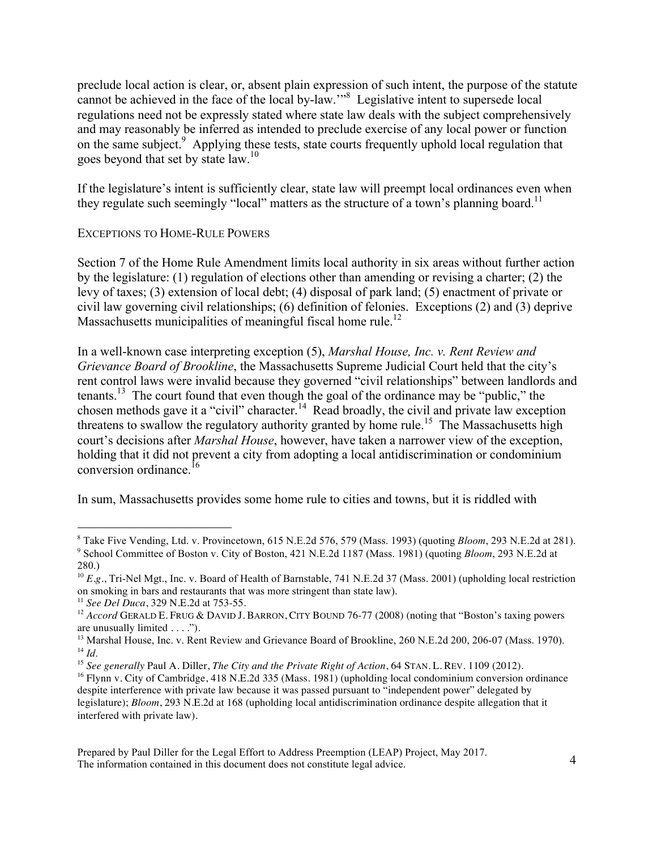preclude local action is clear, or, absent plain expression of such intent, the purpose of the statute cannot be achieved in the face of the local by-law."<sup>8</sup> Legislative intent to supersede local regulations need not be expressly stated where state law deals with the subject comprehensively and may reasonably be inferred as intended to preclude exercise of any local power or function on the same subject.<sup>9</sup> Applying these tests, state courts frequently uphold local regulation that goes beyond that set by state law.<sup>10</sup>

If the legislature's intent is sufficiently clear, state law will preempt local ordinances even when they regulate such seemingly "local" matters as the structure of a town's planning board.<sup>11</sup>

## EXCEPTIONS TO HOME-RULE POWERS

Section 7 of the Home Rule Amendment limits local authority in six areas without further action by the legislature: (1) regulation of elections other than amending or revising a charter; (2) the levy of taxes; (3) extension of local debt; (4) disposal of park land; (5) enactment of private or civil law governing civil relationships; (6) definition of felonies. Exceptions (2) and (3) deprive Massachusetts municipalities of meaningful fiscal home rule.<sup>12</sup>

In a well-known case interpreting exception (5), *Marshal House, Inc. v. Rent Review and Grievance Board of Brookline*, the Massachusetts Supreme Judicial Court held that the city's rent control laws were invalid because they governed "civil relationships" between landlords and tenants.<sup>13</sup> The court found that even though the goal of the ordinance may be "public," the chosen methods gave it a "civil" character.<sup>14</sup> Read broadly, the civil and private law exception threatens to swallow the regulatory authority granted by home rule.<sup>15</sup> The Massachusetts high court's decisions after *Marshal House*, however, have taken a narrower view of the exception, holding that it did not prevent a city from adopting a local antidiscrimination or condominium conversion ordinance<sup>16</sup>

In sum, Massachusetts provides some home rule to cities and towns, but it is riddled with

 <sup>8</sup> Take Five Vending, Ltd. v. Provincetown, 615 N.E.2d 576, 579 (Mass. 1993) (quoting *Bloom*, 293 N.E.2d at 281). <sup>9</sup> School Committee of Boston v. City of Boston, 421 N.E.2d 1187 (Mass. 1981) (quoting *Bloom*, 293 N.E.2d at 280.)

<sup>&</sup>lt;sup>10</sup> *E.g.*, Tri-Nel Mgt., Inc. v. Board of Health of Barnstable, 741 N.E.2d 37 (Mass. 2001) (upholding local restriction on smoking in bars and restaurants that was more stringent than state law).

<sup>11</sup> *See Del Duca*, 329 N.E.2d at 753-55.

<sup>&</sup>lt;sup>12</sup> *Accord* GERALD E. FRUG & DAVID J. BARRON, CITY BOUND 76-77 (2008) (noting that "Boston's taxing powers are unusually limited . . . .").

<sup>&</sup>lt;sup>13</sup> Marshal House, Inc. v. Rent Review and Grievance Board of Brookline, 260 N.E.2d 200, 206-07 (Mass. 1970). <sup>14</sup> *Id*.

<sup>15</sup> *See generally* Paul A. Diller, *The City and the Private Right of Action*, 64 STAN. L. REV. 1109 (2012).

<sup>&</sup>lt;sup>16</sup> Flynn v. City of Cambridge, 418 N.E.2d 335 (Mass. 1981) (upholding local condominium conversion ordinance despite interference with private law because it was passed pursuant to "independent power" delegated by legislature); *Bloom*, 293 N.E.2d at 168 (upholding local antidiscrimination ordinance despite allegation that it interfered with private law).